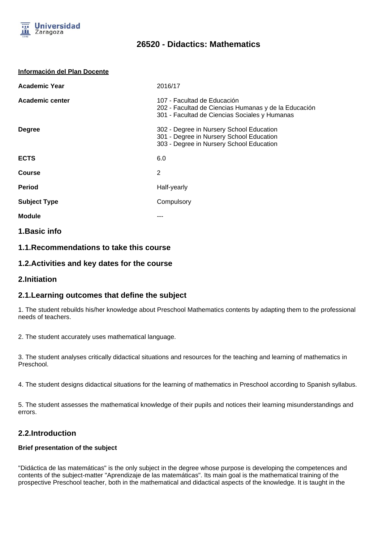

# **26520 - Didactics: Mathematics**

#### **Información del Plan Docente**

| <b>Academic Year</b> | 2016/17                                                                                                                              |
|----------------------|--------------------------------------------------------------------------------------------------------------------------------------|
| Academic center      | 107 - Facultad de Educación<br>202 - Facultad de Ciencias Humanas y de la Educación<br>301 - Facultad de Ciencias Sociales y Humanas |
| <b>Degree</b>        | 302 - Degree in Nursery School Education<br>301 - Degree in Nursery School Education<br>303 - Degree in Nursery School Education     |
| <b>ECTS</b>          | 6.0                                                                                                                                  |
| <b>Course</b>        | 2                                                                                                                                    |
| <b>Period</b>        | Half-yearly                                                                                                                          |
| <b>Subject Type</b>  | Compulsory                                                                                                                           |
| <b>Module</b>        |                                                                                                                                      |
|                      |                                                                                                                                      |

## **1.Basic info**

## **1.1.Recommendations to take this course**

## **1.2.Activities and key dates for the course**

**2.Initiation**

## **2.1.Learning outcomes that define the subject**

1. The student rebuilds his/her knowledge about Preschool Mathematics contents by adapting them to the professional needs of teachers.

2. The student accurately uses mathematical language.

3. The student analyses critically didactical situations and resources for the teaching and learning of mathematics in Preschool.

4. The student designs didactical situations for the learning of mathematics in Preschool according to Spanish syllabus.

5. The student assesses the mathematical knowledge of their pupils and notices their learning misunderstandings and errors.

## **2.2.Introduction**

#### **Brief presentation of the subject**

"Didáctica de las matemáticas" is the only subject in the degree whose purpose is developing the competences and contents of the subject-matter "Aprendizaje de las matemáticas". Its main goal is the mathematical training of the prospective Preschool teacher, both in the mathematical and didactical aspects of the knowledge. It is taught in the